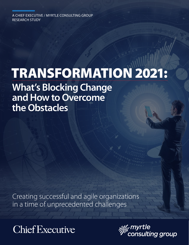A CHIEF EXECUTIVE / MYRTLE CONSULTING GROUP RESEARCH STUDY

# TRANSFORMATION 2021:

**What's Blocking Change and How to Overcome the Obstacles**

Creating successful and agile organizations in a time of unprecedented challenges



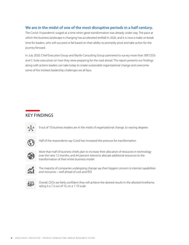### **We are in the midst of one of the most disruptive periods in a half century.**

The Covid-19 pandemic surged at a time when great transformation was already under way. The pace at which the business landscape is changing has accelerated tenfold in 2020, and it is now a make-or-break time for leaders, who will succeed or fail based on their ability to promptly pivot and take action for the journey forward.

In July 2020, Chief Executive Group and Myrtle Consulting Group partnered to survey more than 300 CEOs and C-Suite executives on how they were preparing for the road ahead. This report presents our findings along with actions leaders can take today to create sustainable organizational change and overcome some of the trickiest leadership challenges we all face.

## KEY FINDINGS



9 out of 10 business leaders are in the midst of organizational change, to varying degrees



Half of the respondents say Covid has increased the pressure for transformation



More than half of business chiefs plan to increase their allocation of resources in technology over the next 12 months, and 44 percent intend to allocate additional resources to the transformation of their entire business model



The majority of companies undergoing change say their biggest concern is internal capabilities and resources—well ahead of cost and ROI



Overall, CEOs are fairly confident they will achieve the desired results in the allotted timeframe, rating it a 7.3 out of 10, on a 1-10 scale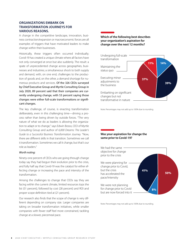#### **ORGANIZATIONS EMBARK ON TRANSFORMATION JOURNEYS FOR VARIOUS REASONS.**

A change in the competitive landscape, innovation, business contraction/expansion or macroeconomic forces are all examples of triggers that have motivated leaders to make change within their businesses.

Historically, these triggers often occurred individually; Covid-19 has created a unique climate where all factors have not only converged at once but also suddenly. The result: a spate of unprecedented change across geographies, businesses and industries; a simultaneous shock to both supply and demand, with, on one end, challenges to the production of goods and, on the other, a demand shortage for numerous products and services. Of the 326 CEOs surveyed by Chief Executive Group and Myrtle Consulting Group in July 2020, 89 percent said that their companies are currently undergoing change, with 53 percent saying those changes were either full-scale transformations or significant changes.

The key challenge, of course, is enacting transformation deliberately, even in this challenging time—driving a process rather than being driven by outside forces. "The very nature of what we do as leaders is allowing the organization to adapt or to change," says Edwin Bosso, CEO of Myrtle Consulting Group and author of *6,000 Dreams: The Leader's Guide to a Successful Business Transformation Journey.* "Now, there are different skills in that transition. Sometimes we call it transformation. Sometimes we call it change, but that's our role as leaders."

#### *Worth noting:*

Ninety-one percent of CEOs who are going through change today say they had begun their evolution prior to the crisis, and fully half say that Covid-19 was the catalyst for either effecting change or increasing the pace and intensity of the transformation.

Among the challenges to change that CEOs say they are facing within the current climate, limited resources tops the list (51 percent), followed by cost (28 percent) and ROI and proper scope definition tied at (21 percent).

Our research also finds that the scope of change is very different depending on company size. Larger companies are taking on broader transformation initiatives, while smaller companies with fewer staff feel more constrained, tackling change at a slower, piecemeal pace.

**Which of the following best describes your organization's aspiration for change over the next 12 months?**



Note: Percentages may not add up to 100% due to rounding.

**Was your aspiration for change the same prior to Covid-19?**



Note: Percentages may not add up to 100% due to rounding.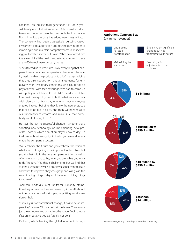For John Paul Amalfe, third-generation CEO of 75-yearold family-operated Momentum USA, a mid-sized aftermarket undercar manufacturer with facilities across North America, the crisis has added new areas of focus. The company had been aggressively pursuing capital investment into automation and technology in order to remain agile and maintain competitiveness in an increasingly automated sector, but Covid-19 has now forced him to also rethink all the health and safety protocols in place at the 600-employee company plants.

"Covid forced us to rethink basically everything that happens: breaks, lunches, temperature checks on the way in, masks within the production facility," he says, adding that they also needed to make arrangements for employees with respiratory conditions who could not do physical work with face coverings. "We had to come up with policy on all this stuff that didn't need to exist before Covid. We quickly had to build what we called our crisis plan so that from day one, when our employees entered into our building, they knew the new protocols that had to be put in place. And then, we needed all of our supervisors to enforce and make sure that everybody was following them."

He says the key to successful change—whether that's adopting new technology or implementing new processes, both of which disrupt employees' day-to-day—is to do so without losing sight of who you are and what's made the company a success.

"You embrace the future and you embrace the vision of what you think is going to be important in the future, but you do that within the core company, within the vision of where you want to be, who you are, what you want to do," he says. "Yes, that is challenging, but we find that as long as you have willing employees that want to learn and want to improve, they can grasp and will grasp the way of doing things today and the way of doing things tomorrow."

Jonathan Reckford, CEO of Habitat for Humanity International, says crises like the one caused by Covid-19 should not become a reason for stopping or putting transformation on hold.

"If it really is transformational change, it has to be an imperative," he says. "You can adjust the levers. You can adjust the schedule. You can adjust the scope. But in theory, if it's an imperative, you can't really not do it."

Reckford, who's leading the global nonprofit through Note: Percentages may not add up to 100% due to rounding.

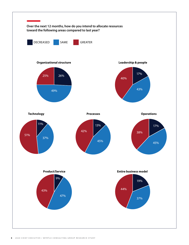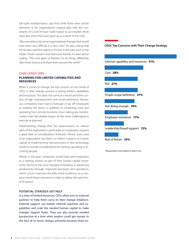full-scale transformation, says that while there were certain elements of his organization's original plan that the constraints of Covid-19 have made harder to accomplish, there were also some that were sped up as a result of the crisis.

"We were able to do some organizational changes that would have been very difficult in a non-crisis," he says, noting that he has also used the urgency of crises in the past, such as the Indian Ocean tsunami and Hurricane Katrina, to learn about scaling. "The crisis gave us freedom to do things differently, take those lessons and share them around the world."

#### CHALLENGE ONE:

#### **PLANNING FOR LIMITED CAPABILITIES AND RESOURCES**

When it comes to change, the top concern on the minds of CEOs in their change process is having limited capabilities and resources. This does not come as a shock amid the context of high unemployment and social restrictions. Numerous companies have had to furlough or lay off employees to weather the storm, in addition to containing costs and operating from remote locations, thus making any transformation that had already begun all the more challenging to execute as planned.

Implementing change that has repercussions on various parts of the organization, particularly on employees, requires a great deal of considerations firsthand. Almost every area of an organization has direct or indirect impacts on human capital, so implementing new processes or new technology needs to include considerations for training, upscaling or recruiting people.

Where, in the past, companies would have sent employees to a training session as part of their human capital investment, the focus has now changed to building or advancing productivity through improved processes and operations, which, in turn, improves the skills of the workforce, so a company needs fewer resources in order to deliver the same level of output.

#### **POTENTIAL STRATEGY: GET HELP**

In a time of limited resources, CEOs often turn to external partners to help them carry on their change initiatives. External support can bolster internal expertise and capabilities and scale the needed human capital to make changes happen faster. They can also provide needed perspective at a time when leaders could get myopic in the face of so much change, primarily because these ex-

#### **CEOs' Top Concerns with Their Change Strategy**



\*Respondents were asked to select two.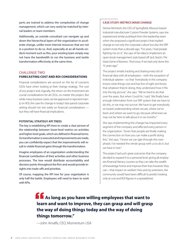perts are trained to address the complexities of change management, which can very rarely be matched by internal leaders or team members.

Additionally, an outside consultant can navigate up and down the hierarchical layers of the organization to accelerate change, unlike most internal resources that are not in a position to do so. And, especially at an all-hands-ondeck moment such as this, your existing team simply may not have the bandwidth to run the business and tackle transformation effectively at the same time.

#### CHALLENGE TWO:

#### **FORECASTING COST AND ROI CONSIDERATIONS**

Financial considerations are second on the list of concerns CEOs have when looking at their change strategy. The cost of any project and, logically, the return on the investment are crucial considerations for all CEOs, no matter the project. But while many business cases can be approved or rejected mainly on ROI, the case for change in today's fast-paced corporate setting should not rest solely on financial considerations but they will have financial implications.

#### **POTENTIAL STRATEGY: KPI TREES**

The key is establishing KPI trees to create a clear picture of the relationship between lower-level metrics on activities and higher-level goals, which are defined in financial terms. As transformation is executed and improvements are made, you can confidently expect that the improvements will result in visible financial gains through the transformation.

Imagine employees of an organization understanding the financial contribution of their activities and other business processes. The tree would distribute accountability and decision points throughout the firm and would provide insights into trade-offs and priorities.

Of course, mapping the KPI tree for your organization is only half the battle. Employees will need to learn to work with KPIs.

#### **CASE STUDY: METRICS MAKE CHANGE**

Denise McIntosh, the CEO of Springfield, Missouri-based industrial manufacturer Custom Powder Systems, says she experienced similar pushback from the leadership team when she proposed a significant project that implied change to not only the corporate culture but also the ERP system more than a decade ago. "For years, I had people fighting me on it," she says of her idea to implement an open-book management style based off Jack Stack's *The Great Game of Business.* "And wow, if we had only done this 15 years ago."

The project entails tracking and sharing every bit of financial data with all employees—with the exception of individual salaries—so that "everybody in the company knows what things cost and has line of sight and know that whatever they're doing, they understand how it fits into the big picture," she says. "We've tried to do that over the years. But when Covid hit, I said, 'We finally have enough information from our ERP system that we have to do this, or we may not survive. We have to get everybody on board understanding where we are, where we've been and where we want to go, because otherwise we may not be here to talk about it in six months.'"

She says implementing this change has impacted every segment of the company and affected every person in the organization. "Given that people are finally making the connection on how you can make a profit doing this," she says, "I know we can [get through this next phase]. I've needed the whole group with us to do it, but we have it now."

The project had such great outcomes that the company decided to expand it to a personal level, giving all employees financial literacy courses so they can take the wealth of knowledge home and improve their lives however they can—that impact on workers' lives and, by extension, the community would have been difficult to predict looking only at cost and ROI figures in a spreadsheet.

**As long as you have willing employees that want to learn and want to improve, they can grasp and will grasp the way of doing things today and the way of doing things tomorrow."**

—John Amalfe, CEO, Momentum USA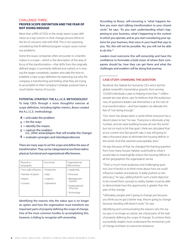#### CHALLENGE THREE:

#### **PROPER SCOPE DEFINITION AND THE FEAR OF NOT DOING ENOUGH**

More than a fifth of CEOs in the study report scope definition as a top concern in their change process (third on the list of concerns, tied with ROI). This is not surprising considering that ill-defined program scopes cause numerous problems.

Some the issues companies often encounter in a transformation is a scope—which is the description of the area of focus of the transformation—that drifts from the originally defined target, is summarily defined and rushed, or is missing the target completely. Leaders who take the time to establish a clear scope definition by reasoning out why the company is transforming and linking what they are trying to accomplish to their company's strategic purpose have a much better chance of success.

#### **POTENTIAL STRATEGY: THE A.L.I.C.E. METHODOLOGY**

To help CEOs through a more thoughtful exercise at scope definition, including tighter metrics, Bosso created the A.L.I.C.E. methodology:

- $A =$  articulate the problem
- **L** = list the ways
- $I =$  identify the means
- $c =$  capture the enablers
- (i.e., other areas/players that will enable the change)
- $E =$  evaluate synergies and interdependencies

There are many ways to set the scope and define the area of transformation. They can be categorized across three realms: physical, functional and organizational effectiveness.

| Physical or<br>Geographic | Functional                  | Organizational<br>Effectiveness |
|---------------------------|-----------------------------|---------------------------------|
| • Four walls of factory   | • Production                | • Leadership                    |
| • Number of plants        | $\cdot$ Sales               | • Processes                     |
| • Region                  | • Logistics<br>• Operations | • Management<br>Systems         |
| • Country                 |                             | • Organizational<br>Structure   |
|                           |                             | • Technology                    |

Identifying the reasons why the status quo is no longer an option and how the organization must transform are important parts of properly defining the scope of change. One of the most common hurdles to accomplishing this, however, is failing to recognize self-censorship.

According to Bosso, self-censoring is "what happens before you even start talking transformation to your closest circle," he says. "As you start understanding what's happening to your business, what's happening to the context in which you operate, and as you start considering your options for your business, that voice in your head that says to you, 'No, this will not be possible. No, you will not be able to do this.'"

Leaders must overcome this self-censorship and have the confidence to formulate a bold vision of where their companies should be, how they can get there and what the challenges and enablers will be along that journey.

#### **CASE STUDY: CHANGING THE QUESTION**

Reckford, the Habitat for Humanity CEO who's led the global nonprofit's tremendous growth, from serving 125,000 individuals a year to helping more than 7 million people last year alone, says he believes that the audaciousness of questions leaders ask themselves is at the root of true transformation—and how leaders can alleviate the fear of "not doing enough."

"Our vision has always been a world where everyone has a decent place to live," he says. "Everyone is obviously a big number, and we were building houses all over the world but not on track to hit that goal. I think we calculated that at our current very fast growth rate, it was still going to take a thousand years to eliminate the housing deficits in the world. And that seemed unacceptably slow."

He says because of that, he changed the framing question from how many houses Habitat could build to what it would take to meaningfully reduce the housing deficits in all the geographies the organization serves.

"That's a much more audacious and challenging question, but it forced us to think more about how we could influence markets and policies. It really pushed us into advocacy," he says, adding that for such a bold objective to be moved from concept to reality, leaders must be able to demonstrate how the opportunity is greater than the pain of the change.

"Ultimately, people aren't going to change just because you think you've got a better way; they're going to change because standing still doesn't work," he says.

Identifying and communicating the reasons why the status quo is no longer an option are critical parts of the task of properly defining the scope of change. To achieve them successfully, leaders must understand the emotional cycle of change and learn to overcome resistance.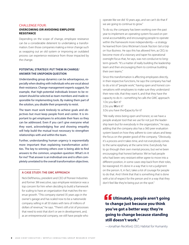#### CHALLENGE FOUR:

#### **OVERCOMING (OR AVOIDING) EMPLOYEE RESISTANCE**

Depending on the scope of change, employee resistance can be a considerable deterrent to undertaking a transformation. Even those companies making a minor change such as swapping out an old system or improving an outdated process can experience resistance from those impacted by the change.

#### **POTENTIAL STRATEGY: PUT THEM IN CHARGE/ ANSWER THE UNSPOKEN QUESTION**

Understanding group dynamics can be advantageous, especially when dealing with individuals who are vocal about their resistance. Change management experts suggest, for example, that high-potential individuals known to be resistant should be selected as team members and made responsible for implementing tools. By making them part of the solution, you disable their propensity to resist.

The team must work tirelessly to achieve goals and objectives but must keep people front and center. It is important to get employees to articulate their fears so they can be addressed. Even if you can't give everyone what they want, acknowledging fear and showing empathy will help build the mutual trust necessary to strengthen relationships with and within the team.

Further, understanding human urgency is exponentially more important than explaining transformation activities. The key to winning others over is being able to find answers to the common, unspoken question: What's in it for me? That answer is an individual one and is often completely unrelated to the overall transformation objectives.

#### **A CASE STUDY: THE GWC APPROACH**

Nick Eleftheriou, president and CEO of Pioneer Industries and former 3M executive, says employee resistance was a top concern for him when deciding to build a framework for scaling to have an organization that matches the revenue growth. "This company started 35 years ago in the owner's garage and has scaled now to be a nationwide company selling in all 50 states with tens of millions of dollars of revenue," he says. "There's still a lot of processes that need to exist that don't or are in development, and, as an entrepreneurial company, we still have people who

operate like we did 10 years ago, and we can't do that if we are going to continue to grow."

To do so, the company has been working over the past year to implement an operating system focused on personal accountability and encouraging people to operate within the framework more independently—a strategy he learned from Gino Wickman's book *Traction: Get a Grip on Your Business.* He says this has allowed him, as CEO, to become more of a visionary and taper his operational oversight focus that, he says, was not conducive to longterm growth. "It's a matter of really building the leadership team and then encouraging them to continue building their own teams."

Since this transformation is affecting employees directly, in their respective functions, he says the company has had to do a lot of "people work," having open and honest conversations with employees to make sure they understand their new role, that they want it, and that they have the capacity to do it—something he calls the GWC approach: 1.Do you Get it?

2.Do you Want it?

3.Do you have the Capacity for it?

"We really stress being open and honest, so we have a people analyzer tool that we use for not just the leadership team but for everybody in the organization," he says, adding that the company also has a 360 peer evaluation system based on how they adhere to core values and keep the focus on the greater good of the company. "Obviously, it's a process and it takes time, and not everybody comes to the same epiphany at the same time. Everybody has to go through their own mental process, but we've been encouraging that honest behavior. We've had people who had been very resistant either agree to move into a different position, in some cases step back from their roles, be reassigned. It's done in a way that is not a judgment on the person. It, in fact, takes a lot of courage for people to do that. And I think that that is something that is done with a lot of respect for the person and in a way that they don't feel like they're being put on the spot."

*f* Ultimately, people aren't going **to change just because you think you've got a better way; they're going to change because standing still doesn't work."** 

—Jonathan Reckford, CEO, Habitat for Humanity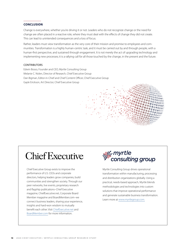#### **CONCLUSION**

Change is everywhere, whether you're driving it or not. Leaders who do not recognize change or the need for change are often placed in a reactive role, where they must deal with the effects of change they did not create. This can lead to unintended consequences and a loss of focus.

Rather, leaders must view transformation as the very core of their mission and promise to employees and communities. Transformation is a highly human-centric task, and it must be carried out by and through people, with a human-first perspective, and sustained through engagement. It is not merely the act of upgrading technology and implementing new processes; it is a rallying call for all those touched by the change, in the present and the future.

#### **CONTRIBUTORS**

Edwin Bosso, Founder and CEO, Myrtle Consulting Group Melanie C. Nolen, Director of Research, Chief Executive Group Dan Bigman, Editor-in-Chief and Chief Content Officer, Chief Executive Group Gayle Erickson, Art Director, Chief Executive Group



# **Chief Executive**

Chief Executive Group exists to improve the performance of U.S. CEOs and corporate directors, helping leaders grow companies, build communities and strengthen society. Through our peer networks, live events, proprietary research and flagship publications–Chief Executive magazine, ChiefExecutive.net, Corporate Board Member magazine and BoardMember.com–we connect business leaders, sharing your experience, insights and hard-won wisdom to mutually benefit each other. Visit [ChiefExecutive.net](http://ChiefExecutive.net) and [BoardMember.com](http://BoardMember.com) for more information.



Myrtle Consulting Group drives operational transformation within manufacturing, processing and distribution organizations globally. Using a practical, needs-based approach, Myrtle blends methodologies and technologies into custom solutions that improve operational performance and generate sustainable business transformation. Learn more at [www.myrtlegroup.com.](http://www.myrtlegroup.com)